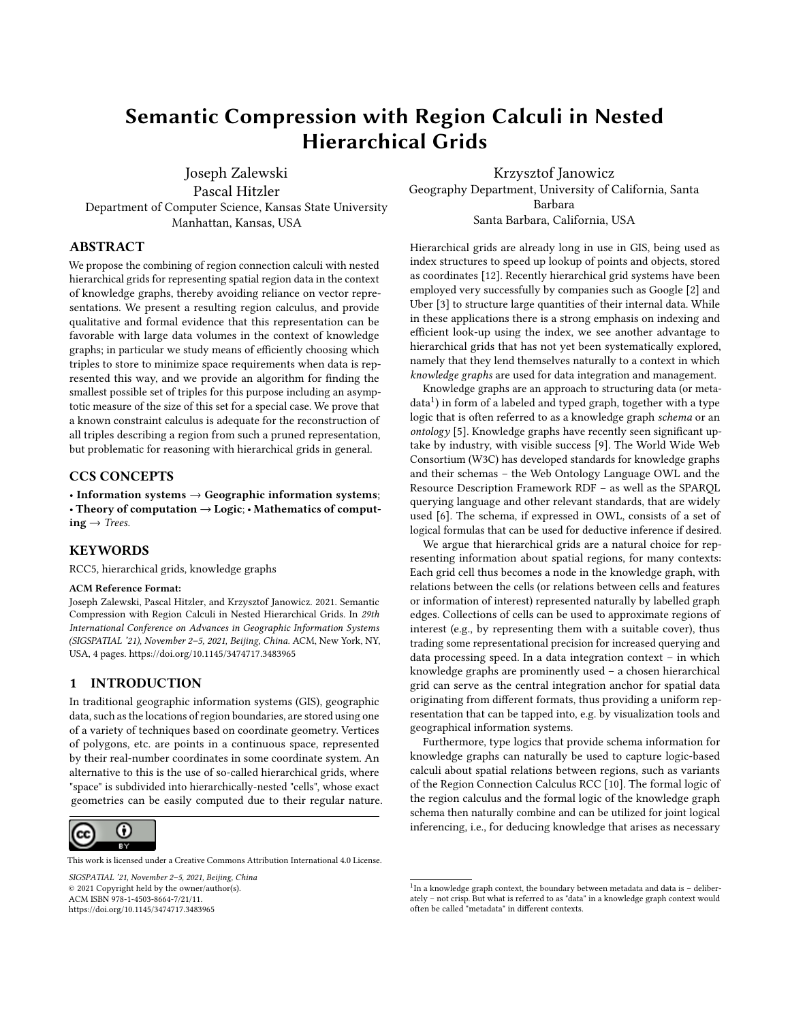# Semantic Compression with Region Calculi in Nested Hierarchical Grids

Joseph Zalewski

Pascal Hitzler

Krzysztof Janowicz

Department of Computer Science, Kansas State University Manhattan, Kansas, USA

Geography Department, University of California, Santa Barbara Santa Barbara, California, USA

## ABSTRACT

We propose the combining of region connection calculi with nested hierarchical grids for representing spatial region data in the context of knowledge graphs, thereby avoiding reliance on vector representations. We present a resulting region calculus, and provide qualitative and formal evidence that this representation can be favorable with large data volumes in the context of knowledge graphs; in particular we study means of efficiently choosing which triples to store to minimize space requirements when data is represented this way, and we provide an algorithm for finding the smallest possible set of triples for this purpose including an asymptotic measure of the size of this set for a special case. We prove that a known constraint calculus is adequate for the reconstruction of all triples describing a region from such a pruned representation, but problematic for reasoning with hierarchical grids in general.

# CCS CONCEPTS

• Information systems  $\rightarrow$  Geographic information systems; • Theory of computation → Logic; • Mathematics of comput $ing \rightarrow Trees.$ 

# **KEYWORDS**

RCC5, hierarchical grids, knowledge graphs

## ACM Reference Format:

Joseph Zalewski, Pascal Hitzler, and Krzysztof Janowicz. 2021. Semantic Compression with Region Calculi in Nested Hierarchical Grids. In 29th International Conference on Advances in Geographic Information Systems (SIGSPATIAL '21), November 2–5, 2021, Beijing, China. ACM, New York, NY, USA, [4](#page-3-0) pages. <https://doi.org/10.1145/3474717.3483965>

## 1 INTRODUCTION

In traditional geographic information systems (GIS), geographic data, such as the locations of region boundaries, are stored using one of a variety of techniques based on coordinate geometry. Vertices of polygons, etc. are points in a continuous space, represented by their real-number coordinates in some coordinate system. An alternative to this is the use of so-called hierarchical grids, where "space" is subdivided into hierarchically-nested "cells", whose exact geometries can be easily computed due to their regular nature.



[This work is licensed under a Creative Commons Attribution International 4.0 License.](https://creativecommons.org/licenses/by/4.0/)

SIGSPATIAL '21, November 2–5, 2021, Beijing, China © 2021 Copyright held by the owner/author(s). ACM ISBN 978-1-4503-8664-7/21/11. <https://doi.org/10.1145/3474717.3483965>

Hierarchical grids are already long in use in GIS, being used as index structures to speed up lookup of points and objects, stored as coordinates [\[12\]](#page-3-1). Recently hierarchical grid systems have been employed very successfully by companies such as Google [\[2\]](#page-3-2) and Uber [\[3\]](#page-3-3) to structure large quantities of their internal data. While in these applications there is a strong emphasis on indexing and efficient look-up using the index, we see another advantage to hierarchical grids that has not yet been systematically explored, namely that they lend themselves naturally to a context in which knowledge graphs are used for data integration and management.

Knowledge graphs are an approach to structuring data (or meta-data<sup>[1](#page-0-0)</sup>) in form of a labeled and typed graph, together with a type logic that is often referred to as a knowledge graph schema or an ontology [\[5\]](#page-3-4). Knowledge graphs have recently seen significant uptake by industry, with visible success [\[9\]](#page-3-5). The World Wide Web Consortium (W3C) has developed standards for knowledge graphs and their schemas – the Web Ontology Language OWL and the Resource Description Framework RDF – as well as the SPARQL querying language and other relevant standards, that are widely used [\[6\]](#page-3-6). The schema, if expressed in OWL, consists of a set of logical formulas that can be used for deductive inference if desired.

We argue that hierarchical grids are a natural choice for representing information about spatial regions, for many contexts: Each grid cell thus becomes a node in the knowledge graph, with relations between the cells (or relations between cells and features or information of interest) represented naturally by labelled graph edges. Collections of cells can be used to approximate regions of interest (e.g., by representing them with a suitable cover), thus trading some representational precision for increased querying and data processing speed. In a data integration context – in which knowledge graphs are prominently used – a chosen hierarchical grid can serve as the central integration anchor for spatial data originating from different formats, thus providing a uniform representation that can be tapped into, e.g. by visualization tools and geographical information systems.

Furthermore, type logics that provide schema information for knowledge graphs can naturally be used to capture logic-based calculi about spatial relations between regions, such as variants of the Region Connection Calculus RCC [\[10\]](#page-3-7). The formal logic of the region calculus and the formal logic of the knowledge graph schema then naturally combine and can be utilized for joint logical inferencing, i.e., for deducing knowledge that arises as necessary

<span id="page-0-0"></span> $1$ In a knowledge graph context, the boundary between metadata and data is - deliberately – not crisp. But what is referred to as "data" in a knowledge graph context would often be called "metadata" in different contexts.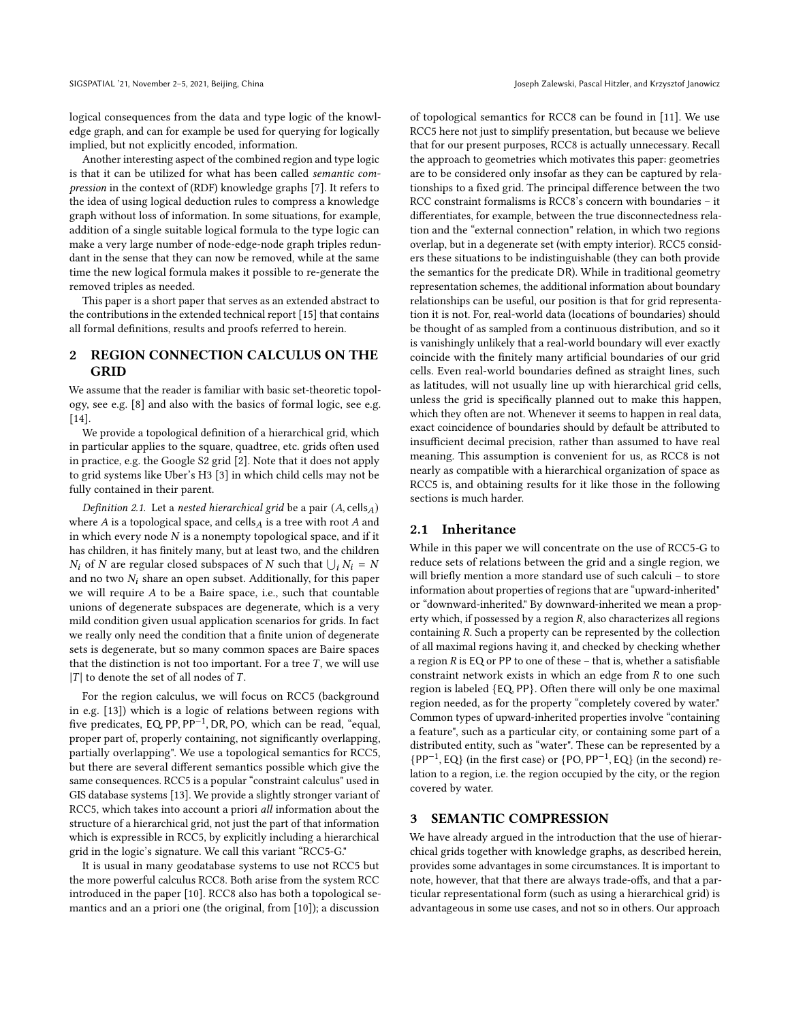logical consequences from the data and type logic of the knowledge graph, and can for example be used for querying for logically implied, but not explicitly encoded, information.

Another interesting aspect of the combined region and type logic is that it can be utilized for what has been called semantic compression in the context of (RDF) knowledge graphs [\[7\]](#page-3-8). It refers to the idea of using logical deduction rules to compress a knowledge graph without loss of information. In some situations, for example, addition of a single suitable logical formula to the type logic can make a very large number of node-edge-node graph triples redundant in the sense that they can now be removed, while at the same time the new logical formula makes it possible to re-generate the removed triples as needed.

This paper is a short paper that serves as an extended abstract to the contributions in the extended technical report [\[15\]](#page-3-9) that contains all formal definitions, results and proofs referred to herein.

# <span id="page-1-0"></span>2 REGION CONNECTION CALCULUS ON THE **GRID**

We assume that the reader is familiar with basic set-theoretic topology, see e.g. [\[8\]](#page-3-10) and also with the basics of formal logic, see e.g. [\[14\]](#page-3-11).

We provide a topological definition of a hierarchical grid, which in particular applies to the square, quadtree, etc. grids often used in practice, e.g. the Google S2 grid [\[2\]](#page-3-2). Note that it does not apply to grid systems like Uber's H3 [\[3\]](#page-3-3) in which child cells may not be fully contained in their parent.

Definition 2.1. Let a nested hierarchical grid be a pair  $(A,$  cells $_A)$ where  $A$  is a topological space, and cells $_A$  is a tree with root  $A$  and in which every node  $N$  is a nonempty topological space, and if it has children, it has finitely many, but at least two, and the children  $N_i$  of N are regular closed subspaces of N such that  $\bigcup_i N_i = N_i$ and no two  $N_i$  share an open subset. Additionally, for this paper we will require  $A$  to be a Baire space, i.e., such that countable unions of degenerate subspaces are degenerate, which is a very mild condition given usual application scenarios for grids. In fact we really only need the condition that a finite union of degenerate sets is degenerate, but so many common spaces are Baire spaces that the distinction is not too important. For a tree  $T$ , we will use  $|T|$  to denote the set of all nodes of T.

For the region calculus, we will focus on RCC5 (background in e.g. [\[13\]](#page-3-12)) which is a logic of relations between regions with five predicates, EQ, PP, PP<sup>-1</sup>, DR, PO, which can be read, "equal, proper part of, properly containing, not significantly overlapping, partially overlapping". We use a topological semantics for RCC5, but there are several different semantics possible which give the same consequences. RCC5 is a popular "constraint calculus" used in GIS database systems [\[13\]](#page-3-12). We provide a slightly stronger variant of RCC5, which takes into account a priori all information about the structure of a hierarchical grid, not just the part of that information which is expressible in RCC5, by explicitly including a hierarchical grid in the logic's signature. We call this variant "RCC5-G."

It is usual in many geodatabase systems to use not RCC5 but the more powerful calculus RCC8. Both arise from the system RCC introduced in the paper [\[10\]](#page-3-7). RCC8 also has both a topological semantics and an a priori one (the original, from [\[10\]](#page-3-7)); a discussion

of topological semantics for RCC8 can be found in [\[11\]](#page-3-13). We use RCC5 here not just to simplify presentation, but because we believe that for our present purposes, RCC8 is actually unnecessary. Recall the approach to geometries which motivates this paper: geometries are to be considered only insofar as they can be captured by relationships to a fixed grid. The principal difference between the two RCC constraint formalisms is RCC8's concern with boundaries – it differentiates, for example, between the true disconnectedness relation and the "external connection" relation, in which two regions overlap, but in a degenerate set (with empty interior). RCC5 considers these situations to be indistinguishable (they can both provide the semantics for the predicate DR). While in traditional geometry representation schemes, the additional information about boundary relationships can be useful, our position is that for grid representation it is not. For, real-world data (locations of boundaries) should be thought of as sampled from a continuous distribution, and so it is vanishingly unlikely that a real-world boundary will ever exactly coincide with the finitely many artificial boundaries of our grid cells. Even real-world boundaries defined as straight lines, such as latitudes, will not usually line up with hierarchical grid cells, unless the grid is specifically planned out to make this happen, which they often are not. Whenever it seems to happen in real data, exact coincidence of boundaries should by default be attributed to insufficient decimal precision, rather than assumed to have real meaning. This assumption is convenient for us, as RCC8 is not nearly as compatible with a hierarchical organization of space as RCC5 is, and obtaining results for it like those in the following sections is much harder.

## 2.1 Inheritance

While in this paper we will concentrate on the use of RCC5-G to reduce sets of relations between the grid and a single region, we will briefly mention a more standard use of such calculi – to store information about properties of regions that are "upward-inherited" or "downward-inherited." By downward-inherited we mean a property which, if possessed by a region  $R$ , also characterizes all regions containing  $R$ . Such a property can be represented by the collection of all maximal regions having it, and checked by checking whether a region  $R$  is EQ or PP to one of these – that is, whether a satisfiable constraint network exists in which an edge from  $R$  to one such region is labeled {EQ, PP}. Often there will only be one maximal region needed, as for the property "completely covered by water." Common types of upward-inherited properties involve "containing a feature", such as a particular city, or containing some part of a distributed entity, such as "water". These can be represented by a {PP−<sup>1</sup> , EQ} (in the first case) or {PO, PP−<sup>1</sup> , EQ} (in the second) relation to a region, i.e. the region occupied by the city, or the region covered by water.

### 3 SEMANTIC COMPRESSION

We have already argued in the introduction that the use of hierarchical grids together with knowledge graphs, as described herein, provides some advantages in some circumstances. It is important to note, however, that that there are always trade-offs, and that a particular representational form (such as using a hierarchical grid) is advantageous in some use cases, and not so in others. Our approach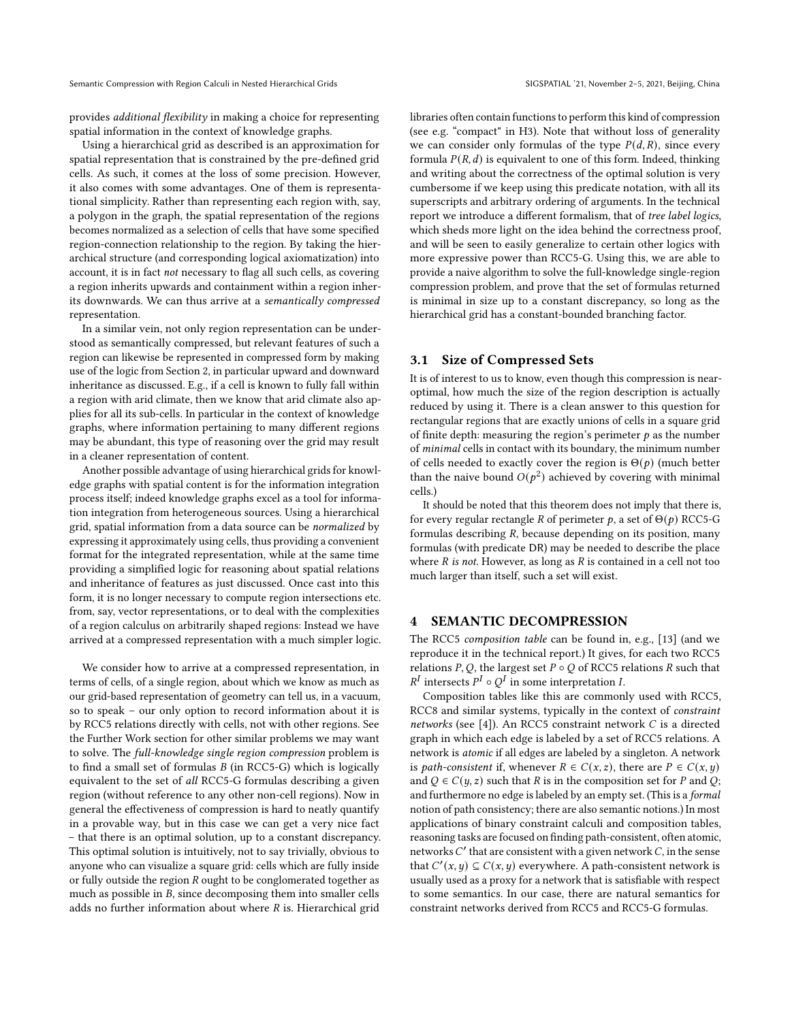provides additional flexibility in making a choice for representing spatial information in the context of knowledge graphs.

Using a hierarchical grid as described is an approximation for spatial representation that is constrained by the pre-defined grid cells. As such, it comes at the loss of some precision. However, it also comes with some advantages. One of them is representational simplicity. Rather than representing each region with, say, a polygon in the graph, the spatial representation of the regions becomes normalized as a selection of cells that have some specified region-connection relationship to the region. By taking the hierarchical structure (and corresponding logical axiomatization) into account, it is in fact not necessary to flag all such cells, as covering a region inherits upwards and containment within a region inherits downwards. We can thus arrive at a semantically compressed representation.

In a similar vein, not only region representation can be understood as semantically compressed, but relevant features of such a region can likewise be represented in compressed form by making use of the logic from Section [2,](#page-1-0) in particular upward and downward inheritance as discussed. E.g., if a cell is known to fully fall within a region with arid climate, then we know that arid climate also applies for all its sub-cells. In particular in the context of knowledge graphs, where information pertaining to many different regions may be abundant, this type of reasoning over the grid may result in a cleaner representation of content.

Another possible advantage of using hierarchical grids for knowledge graphs with spatial content is for the information integration process itself; indeed knowledge graphs excel as a tool for information integration from heterogeneous sources. Using a hierarchical grid, spatial information from a data source can be normalized by expressing it approximately using cells, thus providing a convenient format for the integrated representation, while at the same time providing a simplified logic for reasoning about spatial relations and inheritance of features as just discussed. Once cast into this form, it is no longer necessary to compute region intersections etc. from, say, vector representations, or to deal with the complexities of a region calculus on arbitrarily shaped regions: Instead we have arrived at a compressed representation with a much simpler logic.

We consider how to arrive at a compressed representation, in terms of cells, of a single region, about which we know as much as our grid-based representation of geometry can tell us, in a vacuum, so to speak – our only option to record information about it is by RCC5 relations directly with cells, not with other regions. See the Further Work section for other similar problems we may want to solve. The full-knowledge single region compression problem is to find a small set of formulas  $B$  (in RCC5-G) which is logically equivalent to the set of all RCC5-G formulas describing a given region (without reference to any other non-cell regions). Now in general the effectiveness of compression is hard to neatly quantify in a provable way, but in this case we can get a very nice fact – that there is an optimal solution, up to a constant discrepancy. This optimal solution is intuitively, not to say trivially, obvious to anyone who can visualize a square grid: cells which are fully inside or fully outside the region  $R$  ought to be conglomerated together as much as possible in  $B$ , since decomposing them into smaller cells adds no further information about where  $R$  is. Hierarchical grid

libraries often contain functions to perform this kind of compression (see e.g. "compact" in H3). Note that without loss of generality we can consider only formulas of the type  $P(d, R)$ , since every formula  $P(R, d)$  is equivalent to one of this form. Indeed, thinking and writing about the correctness of the optimal solution is very cumbersome if we keep using this predicate notation, with all its superscripts and arbitrary ordering of arguments. In the technical report we introduce a different formalism, that of tree label logics, which sheds more light on the idea behind the correctness proof, and will be seen to easily generalize to certain other logics with more expressive power than RCC5-G. Using this, we are able to provide a naive algorithm to solve the full-knowledge single-region compression problem, and prove that the set of formulas returned is minimal in size up to a constant discrepancy, so long as the hierarchical grid has a constant-bounded branching factor.

#### 3.1 Size of Compressed Sets

It is of interest to us to know, even though this compression is nearoptimal, how much the size of the region description is actually reduced by using it. There is a clean answer to this question for rectangular regions that are exactly unions of cells in a square grid of finite depth: measuring the region's perimeter  $p$  as the number of minimal cells in contact with its boundary, the minimum number of cells needed to exactly cover the region is  $\Theta(p)$  (much better than the naive bound  $O(p^2)$  achieved by covering with minimal cells.)

It should be noted that this theorem does not imply that there is, for every regular rectangle R of perimeter  $p$ , a set of  $\Theta(p)$  RCC5-G formulas describing  $R$ , because depending on its position, many formulas (with predicate DR) may be needed to describe the place where  $R$  is not. However, as long as  $R$  is contained in a cell not too much larger than itself, such a set will exist.

## 4 SEMANTIC DECOMPRESSION

The RCC5 composition table can be found in, e.g., [\[13\]](#page-3-12) (and we reproduce it in the technical report.) It gives, for each two RCC5 relations  $P$ ,  $Q$ , the largest set  $P \circ Q$  of RCC5 relations  $R$  such that  $R^I$  intersects  $P^I \circ Q^I$  in some interpretation I.

Composition tables like this are commonly used with RCC5, RCC8 and similar systems, typically in the context of constraint networks (see [\[4\]](#page-3-14)). An RCC5 constraint network  $C$  is a directed graph in which each edge is labeled by a set of RCC5 relations. A network is atomic if all edges are labeled by a singleton. A network is *path-consistent* if, whenever  $R \in C(x, z)$ , there are  $P \in C(x, y)$ and  $Q \in C(y, z)$  such that R is in the composition set for P and Q; and furthermore no edge is labeled by an empty set. (This is a formal notion of path consistency; there are also semantic notions.) In most applications of binary constraint calculi and composition tables, reasoning tasks are focused on finding path-consistent, often atomic, networks  $C'$  that are consistent with a given network  $C$ , in the sense that  $C'(x, y) \subseteq C(x, y)$  everywhere. A path-consistent network is usually used as a proxy for a network that is satisfiable with respect to some semantics. In our case, there are natural semantics for constraint networks derived from RCC5 and RCC5-G formulas.